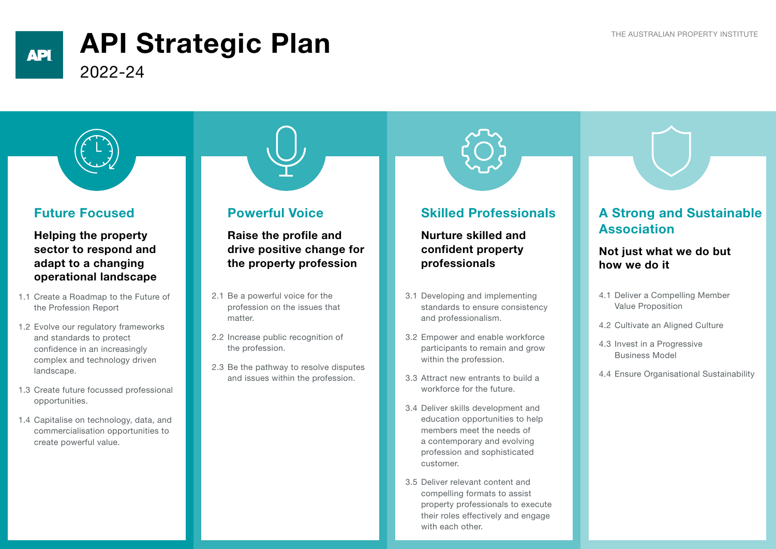### **API**

# API Strategic Plan

2022-24



#### Future Focused

Helping the property sector to respond and adapt to a changing operational landscape

- 1.1 Create a Roadmap to the Future of the Profession Report
- 1.2 Evolve our regulatory frameworks and standards to protect confidence in an increasingly complex and technology driven landscape.
- 1.3 Create future focussed professional opportunities.
- 1.4 Capitalise on technology, data, and commercialisation opportunities to create powerful value.

#### Powerful Voice

Raise the profile and drive positive change for the property profession

- 2.1 Be a powerful voice for the profession on the issues that matter.
- 2.2 Increase public recognition of the profession.
- 2.3 Be the pathway to resolve disputes and issues within the profession.

#### Skilled Professionals

Nurture skilled and confident property professionals

- 3.1 Developing and implementing standards to ensure consistency and professionalism.
- 3.2 Empower and enable workforce participants to remain and grow within the profession.
- 3.3 Attract new entrants to build a workforce for the future.
- 3.4 Deliver skills development and education opportunities to help members meet the needs of a contemporary and evolving profession and sophisticated customer.
- 3.5 Deliver relevant content and compelling formats to assist property professionals to execute their roles effectively and engage with each other

### A Strong and Sustainable Association

#### Not just what we do but how we do it

- 4.1 Deliver a Compelling Member Value Proposition
- 4.2 Cultivate an Aligned Culture
- 4.3 Invest in a Progressive Business Model
- 4.4 Ensure Organisational Sustainability